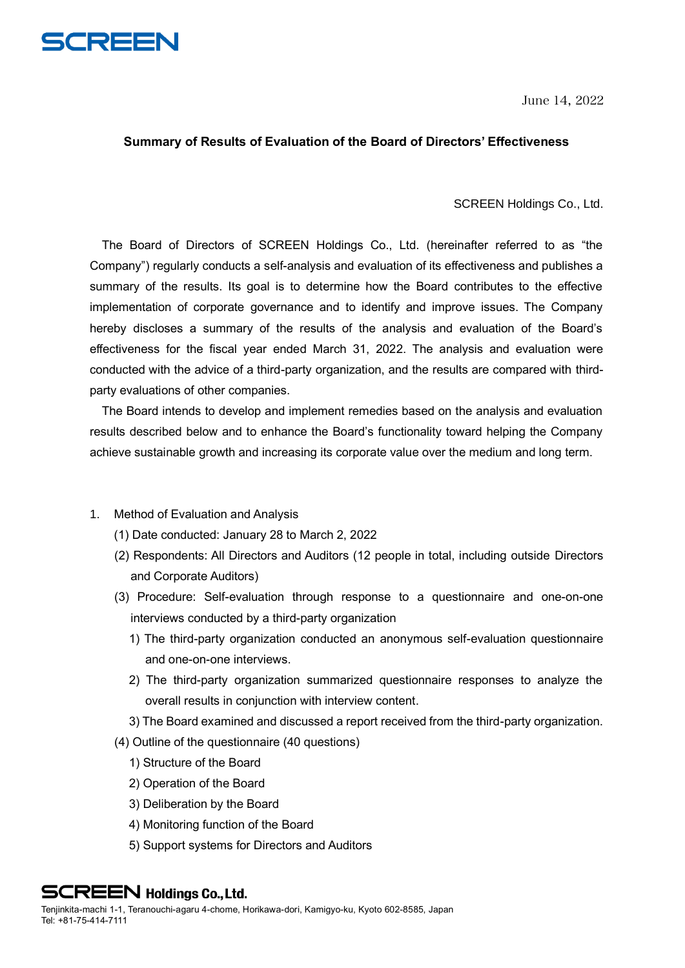

June 14, 2022

## **Summary of Results of Evaluation of the Board of Directors' Effectiveness**

#### SCREEN Holdings Co., Ltd.

The Board of Directors of SCREEN Holdings Co., Ltd. (hereinafter referred to as "the Company") regularly conducts a self-analysis and evaluation of its effectiveness and publishes a summary of the results. Its goal is to determine how the Board contributes to the effective implementation of corporate governance and to identify and improve issues. The Company hereby discloses a summary of the results of the analysis and evaluation of the Board's effectiveness for the fiscal year ended March 31, 2022. The analysis and evaluation were conducted with the advice of a third-party organization, and the results are compared with thirdparty evaluations of other companies.

The Board intends to develop and implement remedies based on the analysis and evaluation results described below and to enhance the Board's functionality toward helping the Company achieve sustainable growth and increasing its corporate value over the medium and long term.

- 1. Method of Evaluation and Analysis
	- (1) Date conducted: January 28 to March 2, 2022
	- (2) Respondents: All Directors and Auditors (12 people in total, including outside Directors and Corporate Auditors)
	- (3) Procedure: Self-evaluation through response to a questionnaire and one-on-one interviews conducted by a third-party organization
		- 1) The third-party organization conducted an anonymous self-evaluation questionnaire and one-on-one interviews.
		- 2) The third-party organization summarized questionnaire responses to analyze the overall results in conjunction with interview content.
		- 3) The Board examined and discussed a report received from the third-party organization.
	- (4) Outline of the questionnaire (40 questions)
		- 1) Structure of the Board
		- 2) Operation of the Board
		- 3) Deliberation by the Board
		- 4) Monitoring function of the Board
		- 5) Support systems for Directors and Auditors

**SCREEN Holdings Co., Ltd.**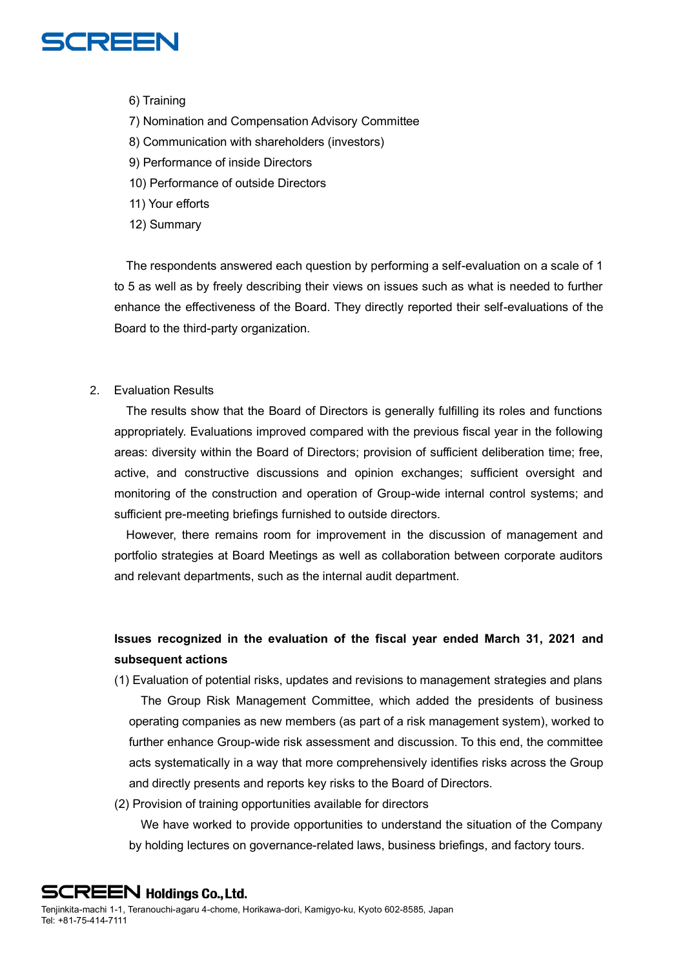

- 6) Training
- 7) Nomination and Compensation Advisory Committee
- 8) Communication with shareholders (investors)
- 9) Performance of inside Directors
- 10) Performance of outside Directors
- 11) Your efforts
- 12) Summary

The respondents answered each question by performing a self-evaluation on a scale of 1 to 5 as well as by freely describing their views on issues such as what is needed to further enhance the effectiveness of the Board. They directly reported their self-evaluations of the Board to the third-party organization.

### 2. Evaluation Results

The results show that the Board of Directors is generally fulfilling its roles and functions appropriately. Evaluations improved compared with the previous fiscal year in the following areas: diversity within the Board of Directors; provision of sufficient deliberation time; free, active, and constructive discussions and opinion exchanges; sufficient oversight and monitoring of the construction and operation of Group-wide internal control systems; and sufficient pre-meeting briefings furnished to outside directors.

However, there remains room for improvement in the discussion of management and portfolio strategies at Board Meetings as well as collaboration between corporate auditors and relevant departments, such as the internal audit department.

# **Issues recognized in the evaluation of the fiscal year ended March 31, 2021 and subsequent actions**

- (1) Evaluation of potential risks, updates and revisions to management strategies and plans The Group Risk Management Committee, which added the presidents of business operating companies as new members (as part of a risk management system), worked to further enhance Group-wide risk assessment and discussion. To this end, the committee acts systematically in a way that more comprehensively identifies risks across the Group and directly presents and reports key risks to the Board of Directors.
- (2) Provision of training opportunities available for directors

We have worked to provide opportunities to understand the situation of the Company by holding lectures on governance-related laws, business briefings, and factory tours.

**SCREEN Holdings Co., Ltd.**